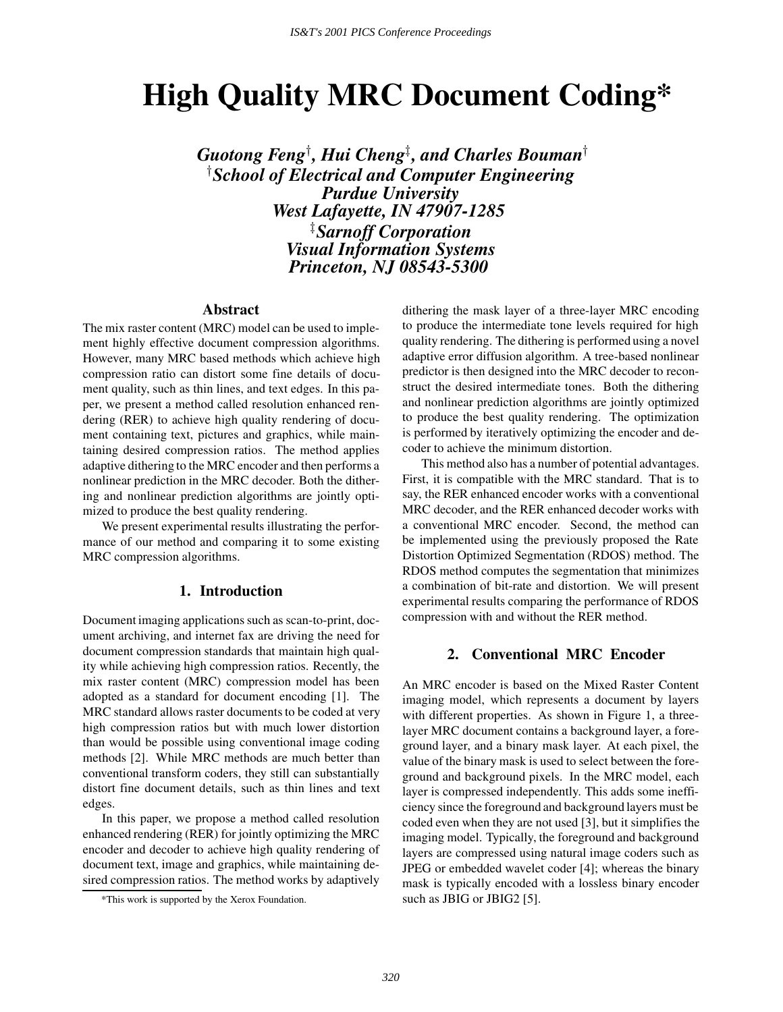# **High Quality MRC Document Coding\***

 $\boldsymbol{G}$ uotong Feng<sup>1</sup>, Hui Cheng<sup>1</sup>, and Charles Bouman<sup>†</sup> <sup>†</sup> School of Electrical and Computer Engineering *Purdue University West Lafayette, IN 47907-1285*  $^{\ddagger}$ Sarnoff Corporation *Visual Information Systems Princeton, NJ 08543-5300*

# **Abstract**

The mix raster content (MRC) model can be used to implement highly effective document compression algorithms. However, many MRC based methods which achieve high compression ratio can distort some fine details of document quality, such as thin lines, and text edges. In this paper, we present a method called resolution enhanced rendering (RER) to achieve high quality rendering of document containing text, pictures and graphics, while maintaining desired compression ratios. The method applies adaptive dithering to the MRC encoder and then performs a nonlinear prediction in the MRC decoder. Both the dithering and nonlinear prediction algorithms are jointly optimized to produce the best quality rendering.

We present experimental results illustrating the performance of our method and comparing it to some existing MRC compression algorithms.

# **1. Introduction**

Document imaging applications such as scan-to-print, document archiving, and internet fax are driving the need for document compression standards that maintain high quality while achieving high compression ratios. Recently, the mix raster content (MRC) compression model has been adopted as a standard for document encoding [1]. The MRC standard allows raster documents to be coded at very high compression ratios but with much lower distortion than would be possible using conventional image coding methods [2]. While MRC methods are much better than conventional transform coders, they still can substantially distort fine document details, such as thin lines and text edges.

In this paper, we propose a method called resolution enhanced rendering (RER) for jointly optimizing the MRC encoder and decoder to achieve high quality rendering of document text, image and graphics, while maintaining desired compression ratios. The method works by adaptively dithering the mask layer of a three-layer MRC encoding to produce the intermediate tone levels required for high quality rendering. The dithering is performed using a novel adaptive error diffusion algorithm. A tree-based nonlinear predictor is then designed into the MRC decoder to reconstruct the desired intermediate tones. Both the dithering and nonlinear prediction algorithms are jointly optimized to produce the best quality rendering. The optimization is performed by iteratively optimizing the encoder and decoder to achieve the minimum distortion.

This method also has a number of potential advantages. First, it is compatible with the MRC standard. That is to say, the RER enhanced encoder works with a conventional MRC decoder, and the RER enhanced decoder works with a conventional MRC encoder. Second, the method can be implemented using the previously proposed the Rate Distortion Optimized Segmentation (RDOS) method. The RDOS method computes the segmentation that minimizes a combination of bit-rate and distortion. We will present experimental results comparing the performance of RDOS compression with and without the RER method.

# **2. Conventional MRC Encoder**

An MRC encoder is based on the Mixed Raster Content imaging model, which represents a document by layers with different properties. As shown in Figure 1, a threelayer MRC document contains a background layer, a foreground layer, and a binary mask layer. At each pixel, the value of the binary mask is used to select between the foreground and background pixels. In the MRC model, each layer is compressed independently. This adds some inefficiency since the foreground and background layers must be coded even when they are not used [3], but it simplifies the imaging model. Typically, the foreground and background layers are compressed using natural image coders such as JPEG or embedded wavelet coder [4]; whereas the binary mask is typically encoded with a lossless binary encoder such as JBIG or JBIG2 [5].

<sup>\*</sup>This work is supported by the Xerox Foundation.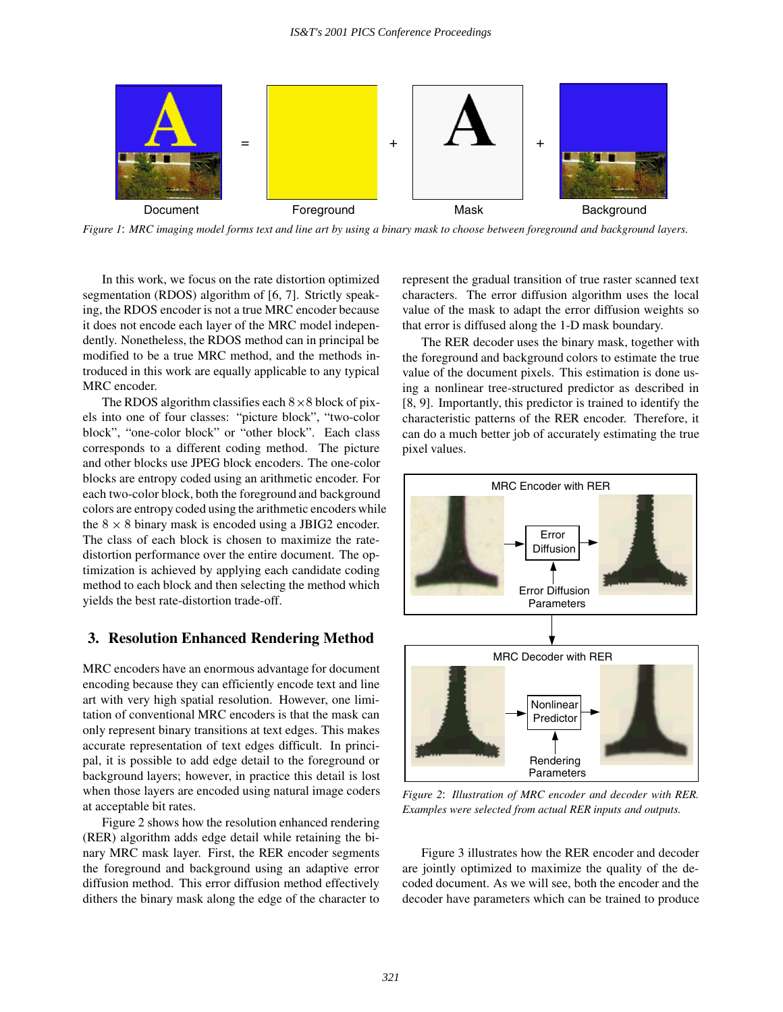

*Figure 1*: *MRC imaging model forms text and line art by using a binary mask to choose between foreground and background layers.*

In this work, we focus on the rate distortion optimized segmentation (RDOS) algorithm of [6, 7]. Strictly speaking, the RDOS encoder is not a true MRC encoder because it does not encode each layer of the MRC model independently. Nonetheless, the RDOS method can in principal be modified to be a true MRC method, and the methods introduced in this work are equally applicable to any typical MRC encoder.

The RDOS algorithm classifies each  $8 \times 8$  block of pixels into one of four classes: "picture block", "two-color block", "one-color block" or "other block". Each class corresponds to a different coding method. The picture and other blocks use JPEG block encoders. The one-color blocks are entropy coded using an arithmetic encoder. For each two-color block, both the foreground and background colors are entropy coded using the arithmetic encoders while the  $8 \times 8$  binary mask is encoded using a JBIG2 encoder. The class of each block is chosen to maximize the ratedistortion performance over the entire document. The optimization is achieved by applying each candidate coding method to each block and then selecting the method which yields the best rate-distortion trade-off.

## **3. Resolution Enhanced Rendering Method**

MRC encoders have an enormous advantage for document encoding because they can efficiently encode text and line art with very high spatial resolution. However, one limitation of conventional MRC encoders is that the mask can only represent binary transitions at text edges. This makes accurate representation of text edges difficult. In principal, it is possible to add edge detail to the foreground or background layers; however, in practice this detail is lost when those layers are encoded using natural image coders at acceptable bit rates.

Figure 2 shows how the resolution enhanced rendering (RER) algorithm adds edge detail while retaining the binary MRC mask layer. First, the RER encoder segments the foreground and background using an adaptive error diffusion method. This error diffusion method effectively dithers the binary mask along the edge of the character to represent the gradual transition of true raster scanned text characters. The error diffusion algorithm uses the local value of the mask to adapt the error diffusion weights so that error is diffused along the 1-D mask boundary.

The RER decoder uses the binary mask, together with the foreground and background colors to estimate the true value of the document pixels. This estimation is done using a nonlinear tree-structured predictor as described in [8, 9]. Importantly, this predictor is trained to identify the characteristic patterns of the RER encoder. Therefore, it can do a much better job of accurately estimating the true pixel values.



*Figure 2*: *Illustration of MRC encoder and decoder with RER. Examples were selected from actual RER inputs and outputs.*

Figure 3 illustrates how the RER encoder and decoder are jointly optimized to maximize the quality of the decoded document. As we will see, both the encoder and the decoder have parameters which can be trained to produce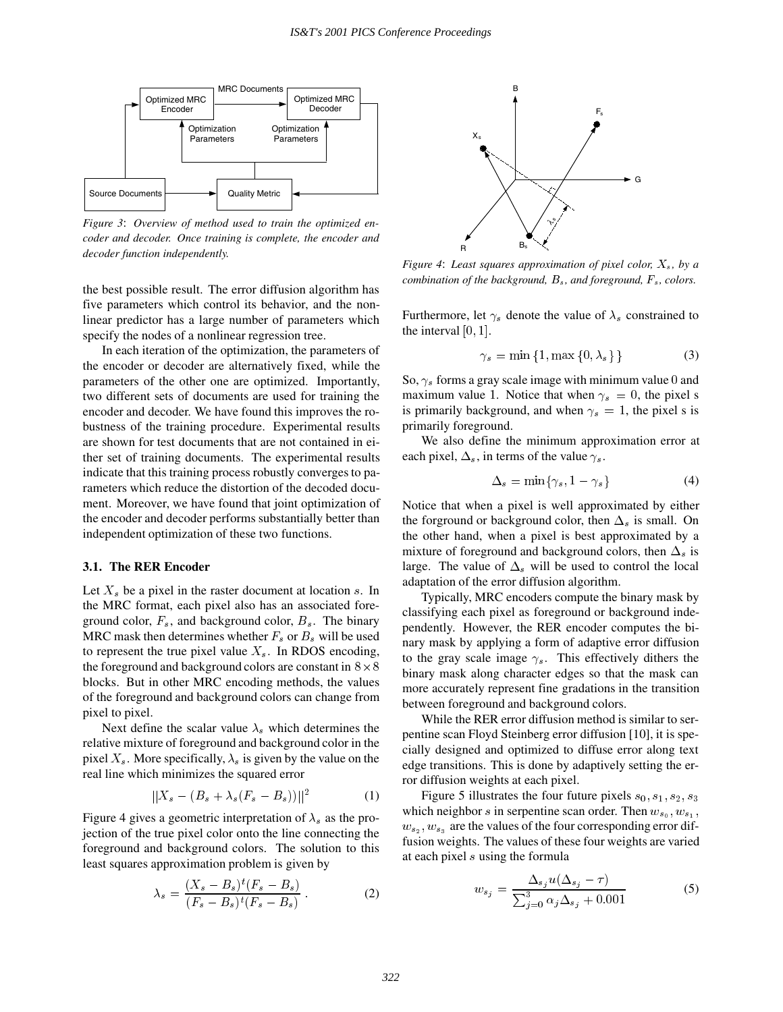

*Figure 3*: *Overview of method used to train the optimized encoder and decoder. Once training is complete, the encoder and decoder function independently.*

the best possible result. The error diffusion algorithm has five parameters which control its behavior, and the nonlinear predictor has a large number of parameters which specify the nodes of a nonlinear regression tree.

In each iteration of the optimization, the parameters of the encoder or decoder are alternatively fixed, while the parameters of the other one are optimized. Importantly, two different sets of documents are used for training the encoder and decoder. We have found this improves the robustness of the training procedure. Experimental results are shown for test documents that are not contained in either set of training documents. The experimental results indicate that this training process robustly converges to parameters which reduce the distortion of the decoded document. Moreover, we have found that joint optimization of the encoder and decoder performs substantially better than independent optimization of these two functions.

#### **3.1. The RER Encoder**

Let  $X<sub>s</sub>$  be a pixel in the raster document at location s. In the MRC format, each pixel also has an associated foreground color,  $F_s$ , and background color,  $B_s$ . The binary MRC mask then determines whether  $F_s$  or  $B_s$  will be used to represent the true pixel value  $X_s$ . In RDOS encoding, the foreground and background colors are constant in  $8 \times 8$ blocks. But in other MRC encoding methods, the values of the foreground and background colors can change from pixel to pixel.

Next define the scalar value  $\lambda_s$  which determines the relative mixture of foreground and background color in the pixel  $X_s$ . More specifically,  $\lambda_s$  is given by the value on the real line which minimizes the squared error

$$
||X_s - (B_s + \lambda_s (F_s - B_s))||^2 \tag{1}
$$

Figure 4 gives a geometric interpretation of  $\lambda_s$  as the projection of the true pixel color onto the line connecting the foreground and background colors. The solution to this least squares approximation problem is given by

$$
\lambda_s = \frac{(X_s - B_s)^t (F_s - B_s)}{(F_s - B_s)^t (F_s - B_s)}.
$$
\n(2)



*Figure 4: Least squares approximation of pixel color,*  $X_s$ *, by a combination of the background,*  $B_s$ *, and foreground,*  $F_s$ *, colors.* 

Furthermore, let  $\gamma_s$  denote the value of  $\lambda_s$  constrained to the interval  $[0, 1]$ .

$$
\gamma_s = \min\{1, \max\{0, \lambda_s\}\}\tag{3}
$$

So,  $\gamma_s$  forms a gray scale image with minimum value 0 and maximum value 1. Notice that when  $\gamma_s = 0$ , the pixel s is primarily background, and when  $\gamma_s = 1$ , the pixel s is primarily foreground.

We also define the minimum approximation error at each pixel,  $\Delta_s$ , in terms of the value  $\gamma_s$ .

$$
\Delta_s = \min\{\gamma_s, 1 - \gamma_s\} \tag{4}
$$

Notice that when a pixel is well approximated by either the forground or background color, then  $\Delta_s$  is small. On the other hand, when a pixel is best approximated by a mixture of foreground and background colors, then  $\Delta_s$  is large. The value of  $\Delta_s$  will be used to control the local adaptation of the error diffusion algorithm.

<sup>o</sup> binary mask along character edges so that the mask can Typically, MRC encoders compute the binary mask by classifying each pixel as foreground or background independently. However, the RER encoder computes the binary mask by applying a form of adaptive error diffusion to the gray scale image  $\gamma_s$ . This effectively dithers the more accurately represent fine gradations in the transition between foreground and background colors.

While the RER error diffusion method is similar to serpentine scan Floyd Steinberg error diffusion [10], it is specially designed and optimized to diffuse error along text edge transitions. This is done by adaptively setting the error diffusion weights at each pixel.

Figure 5 illustrates the four future pixels  $s_0$ ,  $s_1$ ,  $s_2$ ,  $s_3$ which neighbor s in serpentine scan order. Then  $w_{s_0}$ ,  $w_{s_1}$ ,  $w_{s_2}$ ,  $w_{s_3}$  are the values of the four corresponding error diffusion weights. The values of these four weights are varied at each pixel <sup>s</sup> using the formula

$$
w_{s_j} = \frac{\Delta_{s_j} u(\Delta_{s_j} - \tau)}{\sum_{j=0}^3 \alpha_j \Delta_{s_j} + 0.001}
$$
 (5)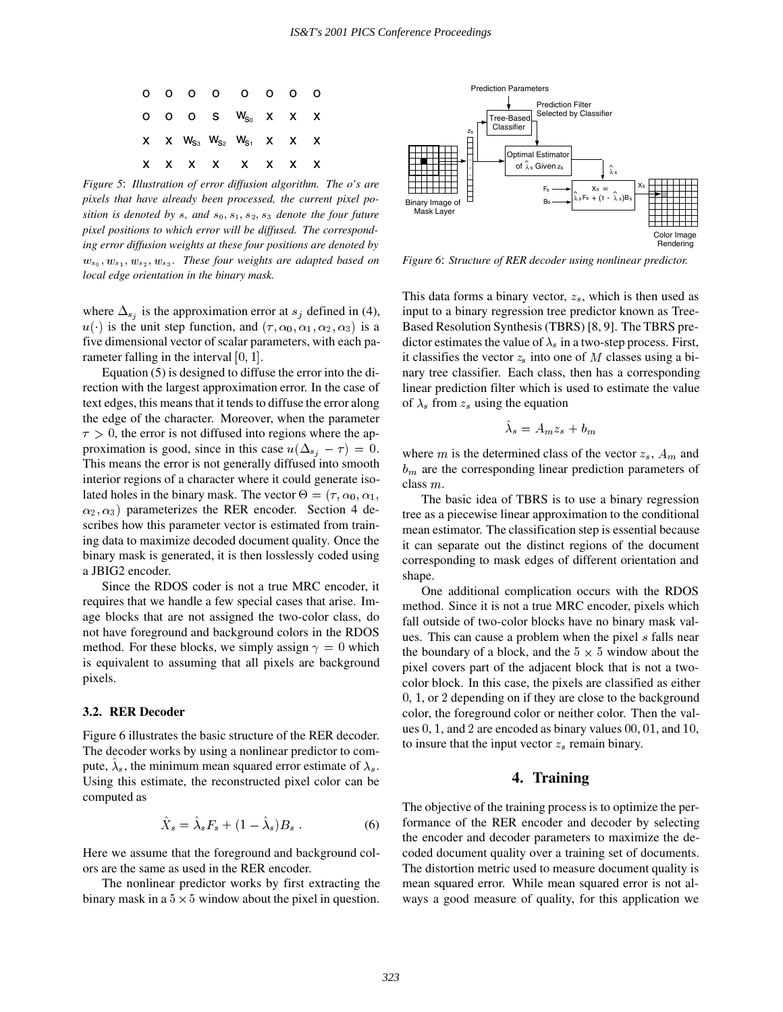

*Figure 5*: *Illustration of error diffusion algorithm. The o's are pixels that have already been processed, the current pixel position is denoted by s, and*  $s_0$ ,  $s_1$ ,  $s_2$ ,  $s_3$  *denote the four future pixel positions to which error will be diffused. The corresponding error diffusion weights at these four positions are denoted by*  $w_{s_0}, w_{s_1}, w_{s_2}, w_{s_3}$ . These four weights are adapted based on *local edge orientation in the binary mask.*

where  $\Delta_{s_i}$  is the approximation error at  $s_j$  defined in (4),  $u(\cdot)$  is the unit step function, and  $(\tau, \alpha_0, \alpha_1, \alpha_2, \alpha_3)$  is a five dimensional vector of scalar parameters, with each parameter falling in the interval  $[0, 1]$ .

Equation (5) is designed to diffuse the error into the direction with the largest approximation error. In the case of text edges, this means that it tends to diffuse the error along the edge of the character. Moreover, when the parameter  $\tau > 0$ , the error is not diffused into regions where the approximation is good, since in this case  $u(\Delta_{s_i} - \tau) = 0$ . This means the error is not generally diffused into smooth interior regions of a character where it could generate isolated holes in the binary mask. The vector  $\Theta = (\tau, \alpha_0, \alpha_1, \alpha_2)$  $\alpha_2, \alpha_3$ ) parameterizes the RER encoder. Section 4 describes how this parameter vector is estimated from training data to maximize decoded document quality. Once the binary mask is generated, it is then losslessly coded using a JBIG2 encoder.

Since the RDOS coder is not a true MRC encoder, it requires that we handle a few special cases that arise. Image blocks that are not assigned the two-color class,do not have foreground and background colors in the RDOS method. For these blocks, we simply assign  $\gamma = 0$  which is equivalent to assuming that all pixels are background pixels.

#### **3.2. RER Decoder**

Figure 6 illustrates the basic structure of the RER decoder. The decoder works by using a nonlinear predictor to compute,  $\lambda_s$ , the minimum mean squared error estimate of  $\lambda_s$ . Using this estimate, the reconstructed pixel color can be computed as

$$
\hat{X}_s = \hat{\lambda}_s F_s + (1 - \hat{\lambda}_s) B_s \tag{6}
$$

Here we assume that the foreground and background colors are the same as used in the RER encoder.

The nonlinear predictor works by first extracting the binary mask in a  $5 \times 5$  window about the pixel in question.



*Figure 6*: *Structure of RER decoder using nonlinear predictor.*

This data forms a binary vector,  $z_s$ , which is then used as input to a binary regression tree predictor known as Tree-Based Resolution Synthesis (TBRS) [8,9]. The TBRS predictor estimates the value of  $\lambda_s$  in a two-step process. First, it classifies the vector  $z<sub>s</sub>$  into one of M classes using a binary tree classifier. Each class, then has a corresponding linear prediction filter which is used to estimate the value of  $\lambda_s$  from  $z_s$  using the equation

$$
\hat{\lambda}_s = A_m z_s + b_m
$$

where m is the determined class of the vector  $z_s$ ,  $A_m$  and  $b<sub>m</sub>$  are the corresponding linear prediction parameters of class <sup>m</sup>.

The basic idea of TBRS is to use a binary regression tree as a piecewise linear approximation to the conditional mean estimator. The classification step is essential because it can separate out the distinct regions of the document corresponding to mask edges of different orientation and shape.

One additional complication occurs with the RDOS method. Since it is not a true MRC encoder, pixels which fall outside of two-color blocks have no binary mask values. This can cause a problem when the pixel <sup>s</sup> falls near the boundary of a block, and the  $5 \times 5$  window about the pixel covers part of the adjacent block that is not a twocolor block. In this case, the pixels are classified as either <sup>0</sup>, <sup>1</sup>,or <sup>2</sup> depending on if they are close to the background color, the foreground color or neither color. Then the values  $0, 1$ , and  $2$  are encoded as binary values  $00, 01$ , and  $10$ , to insure that the input vector  $z_s$  remain binary.

## **4. Training**

The objective of the training process is to optimize the performance of the RER encoder and decoder by selecting the encoder and decoder parameters to maximize the decoded document quality over a training set of documents. The distortion metric used to measure document quality is mean squared error. While mean squared error is not always a good measure of quality, for this application we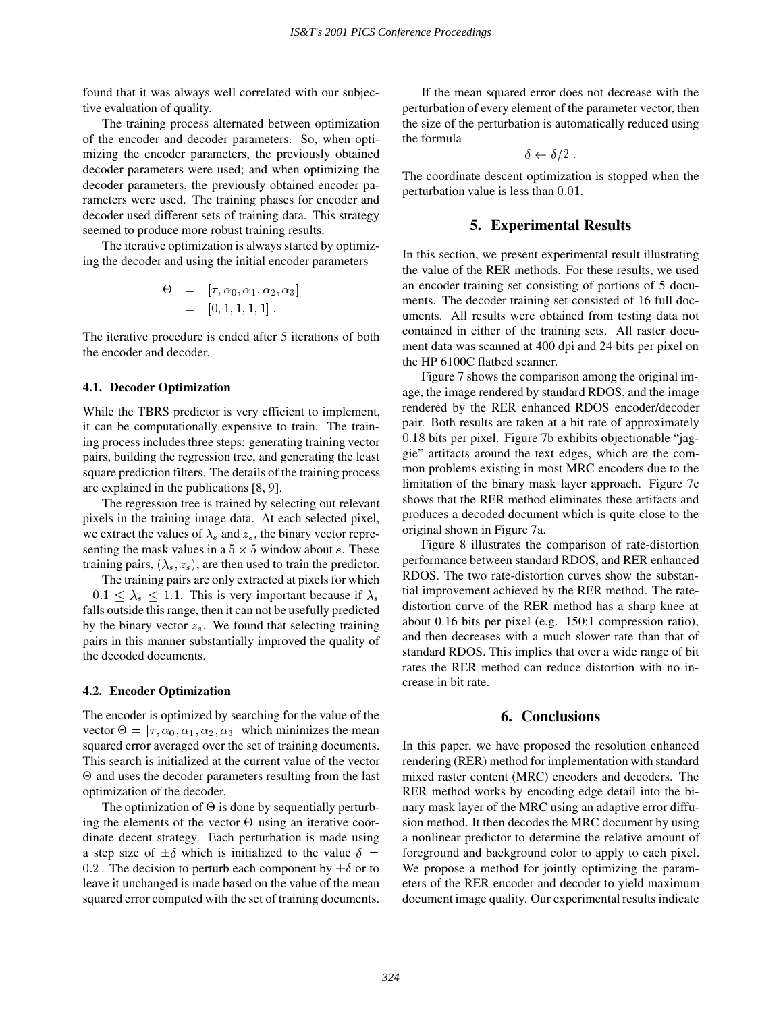found that it was always well correlated with our subjective evaluation of quality.

The training process alternated between optimization of the encoder and decoder parameters. So, when optimizing the encoder parameters, the previously obtained decoder parameters were used; and when optimizing the decoder parameters, the previously obtained encoder parameters were used. The training phases for encoder and decoder used different sets of training data. This strategy seemed to produce more robust training results.

The iterative optimization is always started by optimizing the decoder and using the initial encoder parameters

$$
\Theta = [\tau, \alpha_0, \alpha_1, \alpha_2, \alpha_3]
$$
  
= [0, 1, 1, 1, 1].

The iterative procedure is ended after 5 iterations of both the encoder and decoder.

## **4.1. Decoder Optimization**

While the TBRS predictor is very efficient to implement, it can be computationally expensive to train. The training process includes three steps: generating training vector pairs, building the regression tree, and generating the least square prediction filters. The details of the training process are explained in the publications [8,9].

The regression tree is trained by selecting out relevant pixels in the training image data. At each selected pixel, we extract the values of  $\lambda_s$  and  $z_s$ , the binary vector representing the mask values in a  $5 \times 5$  window about s. These training pairs,  $(\lambda_s, z_s)$ , are then used to train the predictor.

The training pairs are only extracted at pixels for which  $-0.1 \leq \lambda_s \leq 1.1$ . This is very important because if  $\lambda_s$ falls outside this range, then it can not be usefully predicted by the binary vector  $z_s$ . We found that selecting training pairs in this manner substantially improved the quality of the decoded documents.

#### **4.2. Encoder Optimization**

The encoder is optimized by searching for the value of the vector  $\Theta = [\tau, \alpha_0, \alpha_1, \alpha_2, \alpha_3]$  which minimizes the mean squared error averaged over the set of training documents. This search is initialized at the current value of the vector  $\Theta$  and uses the decoder parameters resulting from the last optimization of the decoder.

The optimization of  $\Theta$  is done by sequentially perturbing the elements of the vector  $\Theta$  using an iterative coordinate decent strategy. Each perturbation is made using a step size of  $\pm \delta$  which is initialized to the value  $\delta =$ 0.2. The decision to perturb each component by  $\pm \delta$  or to leave it unchanged is made based on the value of the mean squared error computed with the set of training documents.

If the mean squared error does not decrease with the perturbation of every element of the parameter vector, then the size of the perturbation is automatically reduced using the formula

$$
\delta \leftarrow \delta/2
$$

The coordinate descent optimization is stopped when the perturbation value is less than 0:01.

## **5. Experimental Results**

In this section, we present experimental result illustrating the value of the RER methods. For these results, we used an encoder training set consisting of portions of 5 documents. The decoder training set consisted of 16 full documents. All results were obtained from testing data not contained in either of the training sets. All raster document data was scanned at 400 dpi and 24 bits per pixel on the HP 6100C flatbed scanner.

Figure 7 shows the comparison among the original image, the image rendered by standard RDOS, and the image rendered by the RER enhanced RDOS encoder/decoder pair. Both results are taken at a bit rate of approximately 0:18 bits per pixel. Figure 7b exhibits objectionable "jaggie" artifacts around the text edges, which are the common problems existing in most MRC encoders due to the limitation of the binary mask layer approach. Figure 7c shows that the RER method eliminates these artifacts and produces a decoded document which is quite close to the original shown in Figure 7a.

Figure 8 illustrates the comparison of rate-distortion performance between standard RDOS, and RER enhanced RDOS. The two rate-distortion curves show the substantial improvement achieved by the RER method. The ratedistortion curve of the RER method has a sharp knee at about 0.16 bits per pixel (e.g. 150:1 compression ratio), and then decreases with a much slower rate than that of standard RDOS. This implies that over a wide range of bit rates the RER method can reduce distortion with no increase in bit rate.

# **6. Conclusions**

In this paper, we have proposed the resolution enhanced rendering (RER) method for implementation with standard mixed raster content (MRC) encoders and decoders. The RER method works by encoding edge detail into the binary mask layer of the MRC using an adaptive error diffusion method. It then decodes the MRC document by using a nonlinear predictor to determine the relative amount of foreground and background color to apply to each pixel. We propose a method for jointly optimizing the parameters of the RER encoder and decoder to yield maximum document image quality. Our experimental results indicate